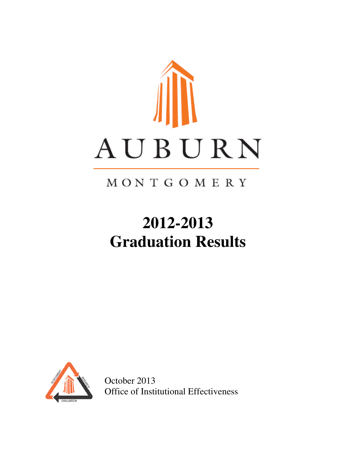

# MONTGOMERY

# **2012-2013 Graduation Results**



October 2013 Office of Institutional Effectiveness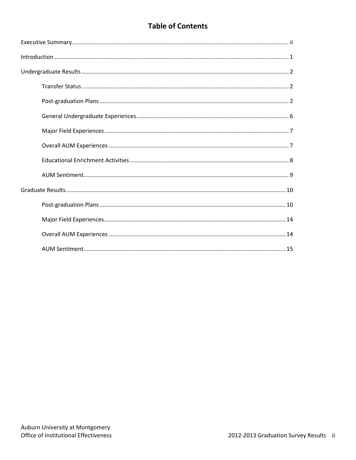# **Table of Contents**

| $\label{lem:1} \mbox{Introduction} \,\, \ldots \,\, \ldots \,\, \ldots \,\, \ldots \,\, \ldots \,\, \ldots \,\, \ldots \,\, \ldots \,\, \ldots \,\, \ldots \,\, \ldots \,\, \ldots \,\, \ldots \,\, \ldots \,\, \ldots \,\, \ldots \,\, \ldots \,\, \ldots \,\, \ldots \,\, \ldots \,\, \ldots \,\, \ldots \,\, \ldots \,\, \ldots \,\, \ldots \,\, \ldots \,\, \ldots \,\, \ldots \,\, \ldots \,\, \ldots \,\, \ldots \,\, \ldots \,\, \ldots \,\, \ldots \,\,$ |
|------------------------------------------------------------------------------------------------------------------------------------------------------------------------------------------------------------------------------------------------------------------------------------------------------------------------------------------------------------------------------------------------------------------------------------------------------------------|
|                                                                                                                                                                                                                                                                                                                                                                                                                                                                  |
|                                                                                                                                                                                                                                                                                                                                                                                                                                                                  |
|                                                                                                                                                                                                                                                                                                                                                                                                                                                                  |
|                                                                                                                                                                                                                                                                                                                                                                                                                                                                  |
|                                                                                                                                                                                                                                                                                                                                                                                                                                                                  |
|                                                                                                                                                                                                                                                                                                                                                                                                                                                                  |
|                                                                                                                                                                                                                                                                                                                                                                                                                                                                  |
|                                                                                                                                                                                                                                                                                                                                                                                                                                                                  |
|                                                                                                                                                                                                                                                                                                                                                                                                                                                                  |
|                                                                                                                                                                                                                                                                                                                                                                                                                                                                  |
|                                                                                                                                                                                                                                                                                                                                                                                                                                                                  |
|                                                                                                                                                                                                                                                                                                                                                                                                                                                                  |
|                                                                                                                                                                                                                                                                                                                                                                                                                                                                  |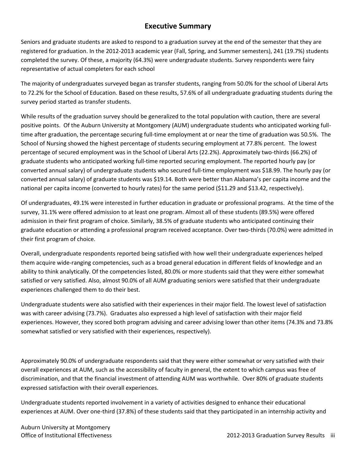### **Executive Summary**

Seniors and graduate students are asked to respond to a graduation survey at the end of the semester that they are registered for graduation. In the 2012-2013 academic year (Fall, Spring, and Summer semesters), 241 (19.7%) students completed the survey. Of these, a majority (64.3%) were undergraduate students. Survey respondents were fairy representative of actual completers for each school

The majority of undergraduates surveyed began as transfer students, ranging from 50.0% for the school of Liberal Arts to 72.2% for the School of Education. Based on these results, 57.6% of all undergraduate graduating students during the survey period started as transfer students.

While results of the graduation survey should be generalized to the total population with caution, there are several positive points. Of the Auburn University at Montgomery (AUM) undergraduate students who anticipated working fulltime after graduation, the percentage securing full-time employment at or near the time of graduation was 50.5%. The School of Nursing showed the highest percentage of students securing employment at 77.8% percent. The lowest percentage of secured employment was in the School of Liberal Arts (22.2%). Approximately two-thirds (66.2%) of graduate students who anticipated working full-time reported securing employment. The reported hourly pay (or converted annual salary) of undergraduate students who secured full-time employment was \$18.99. The hourly pay (or converted annual salary) of graduate students was \$19.14. Both were better than Alabama's per capita income and the national per capita income (converted to hourly rates) for the same period (\$11.29 and \$13.42, respectively).

Of undergraduates, 49.1% were interested in further education in graduate or professional programs. At the time of the survey, 31.1% were offered admission to at least one program. Almost all of these students (89.5%) were offered admission in their first program of choice. Similarly, 38.5% of graduate students who anticipated continuing their graduate education or attending a professional program received acceptance. Over two-thirds (70.0%) were admitted in their first program of choice.

Overall, undergraduate respondents reported being satisfied with how well their undergraduate experiences helped them acquire wide-ranging competencies, such as a broad general education in different fields of knowledge and an ability to think analytically. Of the competencies listed, 80.0% or more students said that they were either somewhat satisfied or very satisfied. Also, almost 90.0% of all AUM graduating seniors were satisfied that their undergraduate experiences challenged them to do their best.

Undergraduate students were also satisfied with their experiences in their major field. The lowest level of satisfaction was with career advising (73.7%). Graduates also expressed a high level of satisfaction with their major field experiences. However, they scored both program advising and career advising lower than other items (74.3% and 73.8% somewhat satisfied or very satisfied with their experiences, respectively).

Approximately 90.0% of undergraduate respondents said that they were either somewhat or very satisfied with their overall experiences at AUM, such as the accessibility of faculty in general, the extent to which campus was free of discrimination, and that the financial investment of attending AUM was worthwhile. Over 80% of graduate students expressed satisfaction with their overall experiences.

Undergraduate students reported involvement in a variety of activities designed to enhance their educational experiences at AUM. Over one-third (37.8%) of these students said that they participated in an internship activity and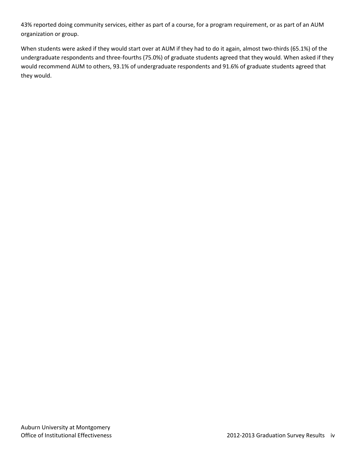43% reported doing community services, either as part of a course, for a program requirement, or as part of an AUM organization or group.

When students were asked if they would start over at AUM if they had to do it again, almost two-thirds (65.1%) of the undergraduate respondents and three-fourths (75.0%) of graduate students agreed that they would. When asked if they would recommend AUM to others, 93.1% of undergraduate respondents and 91.6% of graduate students agreed that they would.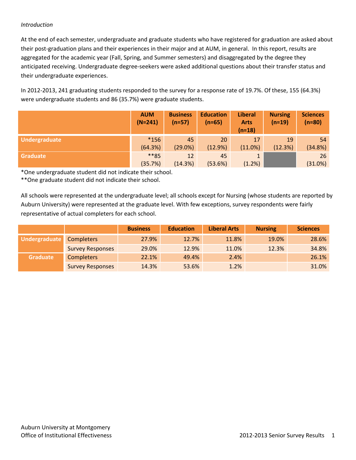#### *Introduction*

At the end of each semester, undergraduate and graduate students who have registered for graduation are asked about their post-graduation plans and their experiences in their major and at AUM, in general. In this report, results are aggregated for the academic year (Fall, Spring, and Summer semesters) and disaggregated by the degree they anticipated receiving. Undergraduate degree-seekers were asked additional questions about their transfer status and their undergraduate experiences.

In 2012-2013, 241 graduating students responded to the survey for a response rate of 19.7%. Of these, 155 (64.3%) were undergraduate students and 86 (35.7%) were graduate students.

|                 | <b>AUM</b><br>$(N=241)$ | <b>Business</b><br>$(n=57)$ | <b>Education</b><br>$(n=65)$ | <b>Liberal</b><br><b>Arts</b><br>$(n=18)$ | <b>Nursing</b><br>$(n=19)$ | <b>Sciences</b><br>$(n=80)$ |
|-----------------|-------------------------|-----------------------------|------------------------------|-------------------------------------------|----------------------------|-----------------------------|
| Undergraduate   | $*156$                  | 45                          | 20                           | 17                                        | 19                         | 54                          |
|                 | (64.3%)                 | (29.0%)                     | (12.9%)                      | (11.0%)                                   | (12.3%)                    | (34.8%)                     |
| <b>Graduate</b> | **85                    | 12                          | 45                           |                                           |                            | 26                          |
|                 | (35.7%)                 | (14.3%)                     | (53.6%)                      | (1.2%)                                    |                            | (31.0%)                     |

\*One undergraduate student did not indicate their school.

\*\*One graduate student did not indicate their school.

All schools were represented at the undergraduate level; all schools except for Nursing (whose students are reported by Auburn University) were represented at the graduate level. With few exceptions, survey respondents were fairly representative of actual completers for each school.

|                 |                         | <b>Business</b> | <b>Education</b> | <b>Liberal Arts</b> | <b>Nursing</b> | <b>Sciences</b> |
|-----------------|-------------------------|-----------------|------------------|---------------------|----------------|-----------------|
| Undergraduate   | <b>Completers</b>       | 27.9%           | 12.7%            | 11.8%               | 19.0%          | 28.6%           |
|                 | <b>Survey Responses</b> | 29.0%           | 12.9%            | 11.0%               | 12.3%          | 34.8%           |
| <b>Graduate</b> | <b>Completers</b>       | 22.1%           | 49.4%            | 2.4%                |                | 26.1%           |
|                 | <b>Survey Responses</b> | 14.3%           | 53.6%            | 1.2%                |                | 31.0%           |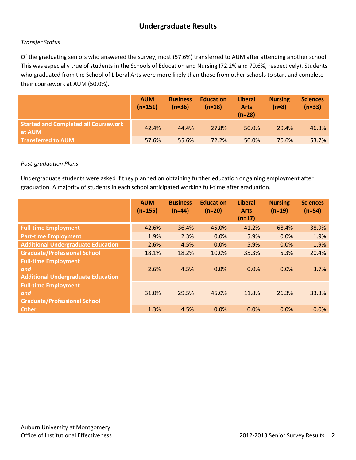# **Undergraduate Results**

#### *Transfer Status*

Of the graduating seniors who answered the survey, most (57.6%) transferred to AUM after attending another school. This was especially true of students in the Schools of Education and Nursing (72.2% and 70.6%, respectively). Students who graduated from the School of Liberal Arts were more likely than those from other schools to start and complete their coursework at AUM (50.0%).

|                                                       | <b>AUM</b><br>$(n=151)$ | <b>Business</b><br>$(n=36)$ | <b>Education</b><br>$(n=18)$ | <b>Liberal</b><br><b>Arts</b><br>$(n=28)$ | <b>Nursing</b><br>$(n=8)$ | <b>Sciences</b><br>$(n=33)$ |
|-------------------------------------------------------|-------------------------|-----------------------------|------------------------------|-------------------------------------------|---------------------------|-----------------------------|
| <b>Started and Completed all Coursework</b><br>at AUM | 42.4%                   | 44.4%                       | 27.8%                        | 50.0%                                     | 29.4%                     | 46.3%                       |
| <b>Transferred to AUM</b>                             | 57.6%                   | 55.6%                       | 72.2%                        | 50.0%                                     | 70.6%                     | 53.7%                       |

#### *Post-graduation Plans*

Undergraduate students were asked if they planned on obtaining further education or gaining employment after graduation. A majority of students in each school anticipated working full-time after graduation.

|                                                                                 | <b>AUM</b><br>$(n=155)$ | <b>Business</b><br>$(n=44)$ | <b>Education</b><br>$(n=20)$ | <b>Liberal</b><br><b>Arts</b><br>$(n=17)$ | <b>Nursing</b><br>$(n=19)$ | <b>Sciences</b><br>$(n=54)$ |
|---------------------------------------------------------------------------------|-------------------------|-----------------------------|------------------------------|-------------------------------------------|----------------------------|-----------------------------|
| <b>Full-time Employment</b>                                                     | 42.6%                   | 36.4%                       | 45.0%                        | 41.2%                                     | 68.4%                      | 38.9%                       |
| <b>Part-time Employment</b>                                                     | 1.9%                    | 2.3%                        | 0.0%                         | 5.9%                                      | 0.0%                       | 1.9%                        |
| <b>Additional Undergraduate Education</b>                                       | 2.6%                    | 4.5%                        | 0.0%                         | 5.9%                                      | 0.0%                       | 1.9%                        |
| <b>Graduate/Professional School</b>                                             | 18.1%                   | 18.2%                       | 10.0%                        | 35.3%                                     | 5.3%                       | 20.4%                       |
| <b>Full-time Employment</b><br>and<br><b>Additional Undergraduate Education</b> | 2.6%                    | 4.5%                        | 0.0%                         | 0.0%                                      | 0.0%                       | 3.7%                        |
| <b>Full-time Employment</b><br>and<br><b>Graduate/Professional School</b>       | 31.0%                   | 29.5%                       | 45.0%                        | 11.8%                                     | 26.3%                      | 33.3%                       |
| <b>Other</b>                                                                    | 1.3%                    | 4.5%                        | 0.0%                         | 0.0%                                      | 0.0%                       | 0.0%                        |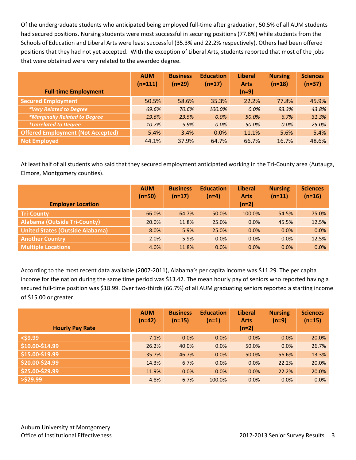Of the undergraduate students who anticipated being employed full-time after graduation, 50.5% of all AUM students had secured positions. Nursing students were most successful in securing positions (77.8%) while students from the Schools of Education and Liberal Arts were least successful (35.3% and 22.2% respectively). Others had been offered positions that they had not yet accepted. With the exception of Liberal Arts, students reported that most of the jobs that were obtained were very related to the awarded degree.

|                                          | <b>AUM</b><br>$(n=111)$ | <b>Business</b><br>$(n=29)$ | <b>Education</b><br>$(n=17)$ | <b>Liberal</b><br><b>Arts</b> | <b>Nursing</b><br>$(n=18)$ | <b>Sciences</b><br>$(n=37)$ |
|------------------------------------------|-------------------------|-----------------------------|------------------------------|-------------------------------|----------------------------|-----------------------------|
| <b>Full-time Employment</b>              |                         |                             |                              | $(n=9)$                       |                            |                             |
| <b>Secured Employment</b>                | 50.5%                   | 58.6%                       | 35.3%                        | 22.2%                         | 77.8%                      | 45.9%                       |
| *Very Related to Degree                  | 69.6%                   | 70.6%                       | 100.0%                       | 0.0%                          | 93.3%                      | 43.8%                       |
| <i>*Marginally Related to Degree</i>     | 19.6%                   | 23.5%                       | 0.0%                         | 50.0%                         | 6.7%                       | 31.3%                       |
| <i><b>*Unrelated to Degree</b></i>       | 10.7%                   | 5.9%                        | 0.0%                         | 50.0%                         | 0.0%                       | 25.0%                       |
| <b>Offered Employment (Not Accepted)</b> | 5.4%                    | 3.4%                        | 0.0%                         | 11.1%                         | 5.6%                       | 5.4%                        |
| <b>Not Employed</b>                      | 44.1%                   | 37.9%                       | 64.7%                        | 66.7%                         | 16.7%                      | 48.6%                       |

At least half of all students who said that they secured employment anticipated working in the Tri-County area (Autauga, Elmore, Montgomery counties).

|                                        | <b>AUM</b><br>$(n=50)$ | <b>Business</b><br>$(n=17)$ | <b>Education</b><br>$(n=4)$ | <b>Liberal</b><br><b>Arts</b> | <b>Nursing</b><br>$(n=11)$ | <b>Sciences</b><br>$(n=16)$ |
|----------------------------------------|------------------------|-----------------------------|-----------------------------|-------------------------------|----------------------------|-----------------------------|
| <b>Employer Location</b>               |                        |                             |                             | $(n=2)$                       |                            |                             |
| <b>Tri-County</b>                      | 66.0%                  | 64.7%                       | 50.0%                       | 100.0%                        | 54.5%                      | 75.0%                       |
| <b>Alabama (Outside Tri-County)</b>    | 20.0%                  | 11.8%                       | 25.0%                       | 0.0%                          | 45.5%                      | 12.5%                       |
| <b>United States (Outside Alabama)</b> | 8.0%                   | 5.9%                        | 25.0%                       | 0.0%                          | 0.0%                       | 0.0%                        |
| <b>Another Country</b>                 | 2.0%                   | 5.9%                        | 0.0%                        | 0.0%                          | 0.0%                       | 12.5%                       |
| <b>Multiple Locations</b>              | 4.0%                   | 11.8%                       | 0.0%                        | 0.0%                          | 0.0%                       | 0.0%                        |

According to the most recent data available (2007-2011), Alabama's per capita income was \$11.29. The per capita income for the nation during the same time period was \$13.42. The mean hourly pay of seniors who reported having a secured full-time position was \$18.99. Over two-thirds (66.7%) of all AUM graduating seniors reported a starting income of \$15.00 or greater.

|                        | <b>AUM</b><br>$(n=42)$ | <b>Business</b><br>$(n=15)$ | <b>Education</b><br>$(n=1)$ | <b>Liberal</b><br><b>Arts</b> | <b>Nursing</b><br>$(n=9)$ | <b>Sciences</b><br>$(n=15)$ |
|------------------------|------------------------|-----------------------------|-----------------------------|-------------------------------|---------------------------|-----------------------------|
| <b>Hourly Pay Rate</b> |                        |                             |                             | $(n=2)$                       |                           |                             |
| $<$ \$9.99             | 7.1%                   | 0.0%                        | 0.0%                        | 0.0%                          | 0.0%                      | 20.0%                       |
| \$10.00-\$14.99        | 26.2%                  | 40.0%                       | 0.0%                        | 50.0%                         | 0.0%                      | 26.7%                       |
| \$15.00-\$19.99        | 35.7%                  | 46.7%                       | 0.0%                        | 50.0%                         | 56.6%                     | 13.3%                       |
| \$20.00-\$24.99        | 14.3%                  | 6.7%                        | 0.0%                        | 0.0%                          | 22.2%                     | 20.0%                       |
| \$25.00-\$29.99        | 11.9%                  | 0.0%                        | 0.0%                        | 0.0%                          | 22.2%                     | 20.0%                       |
| $>$ \$29.99            | 4.8%                   | 6.7%                        | 100.0%                      | 0.0%                          | 0.0%                      | 0.0%                        |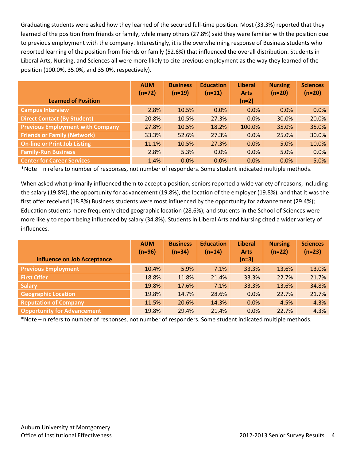Graduating students were asked how they learned of the secured full-time position. Most (33.3%) reported that they learned of the position from friends or family, while many others (27.8%) said they were familiar with the position due to previous employment with the company. Interestingly, it is the overwhelming response of Business students who reported learning of the position from friends or family (52.6%) that influenced the overall distribution. Students in Liberal Arts, Nursing, and Sciences all were more likely to cite previous employment as the way they learned of the position (100.0%, 35.0%, and 35.0%, respectively).

| <b>Learned of Position</b>              | <b>AUM</b><br>$(n=72)$ | <b>Business</b><br>$(n=19)$ | <b>Education</b><br>$(n=11)$ | <b>Liberal</b><br><b>Arts</b><br>$(n=2)$ | <b>Nursing</b><br>$(n=20)$ | <b>Sciences</b><br>$(n=20)$ |
|-----------------------------------------|------------------------|-----------------------------|------------------------------|------------------------------------------|----------------------------|-----------------------------|
|                                         |                        |                             |                              |                                          |                            |                             |
| <b>Campus Interview</b>                 | 2.8%                   | 10.5%                       | 0.0%                         | 0.0%                                     | 0.0%                       | 0.0%                        |
| <b>Direct Contact (By Student)</b>      | 20.8%                  | 10.5%                       | 27.3%                        | 0.0%                                     | 30.0%                      | 20.0%                       |
| <b>Previous Employment with Company</b> | 27.8%                  | 10.5%                       | 18.2%                        | 100.0%                                   | 35.0%                      | 35.0%                       |
| <b>Friends or Family (Network)</b>      | 33.3%                  | 52.6%                       | 27.3%                        | 0.0%                                     | 25.0%                      | 30.0%                       |
| <b>On-line or Print Job Listing</b>     | 11.1%                  | 10.5%                       | 27.3%                        | 0.0%                                     | 5.0%                       | 10.0%                       |
| <b>Family-Run Business</b>              | 2.8%                   | 5.3%                        | 0.0%                         | 0.0%                                     | 5.0%                       | 0.0%                        |
| <b>Center for Career Services</b>       | 1.4%                   | 0.0%                        | 0.0%                         | 0.0%                                     | 0.0%                       | 5.0%                        |

\*Note – n refers to number of responses, not number of responders. Some student indicated multiple methods.

When asked what primarily influenced them to accept a position, seniors reported a wide variety of reasons, including the salary (19.8%), the opportunity for advancement (19.8%), the location of the employer (19.8%), and that it was the first offer received (18.8%) Business students were most influenced by the opportunity for advancement (29.4%); Education students more frequently cited geographic location (28.6%); and students in the School of Sciences were more likely to report being influenced by salary (34.8%). Students in Liberal Arts and Nursing cited a wider variety of influences.

|                                    | <b>AUM</b><br>$(n=96)$ | <b>Business</b><br>$(n=34)$ | <b>Education</b><br>$(n=14)$ | <b>Liberal</b><br><b>Arts</b> | <b>Nursing</b><br>$(n=22)$ | <b>Sciences</b><br>$(n=23)$ |
|------------------------------------|------------------------|-----------------------------|------------------------------|-------------------------------|----------------------------|-----------------------------|
| <b>Influence on Job Acceptance</b> |                        |                             |                              | $(n=3)$                       |                            |                             |
| <b>Previous Employment</b>         | 10.4%                  | 5.9%                        | 7.1%                         | 33.3%                         | 13.6%                      | 13.0%                       |
| <b>First Offer</b>                 | 18.8%                  | 11.8%                       | 21.4%                        | 33.3%                         | 22.7%                      | 21.7%                       |
| <b>Salary</b>                      | 19.8%                  | 17.6%                       | 7.1%                         | 33.3%                         | 13.6%                      | 34.8%                       |
| <b>Geographic Location</b>         | 19.8%                  | 14.7%                       | 28.6%                        | 0.0%                          | 22.7%                      | 21.7%                       |
| <b>Reputation of Company</b>       | 11.5%                  | 20.6%                       | 14.3%                        | 0.0%                          | 4.5%                       | 4.3%                        |
| <b>Opportunity for Advancement</b> | 19.8%                  | 29.4%                       | 21.4%                        | 0.0%                          | 22.7%                      | 4.3%                        |

\*Note – n refers to number of responses, not number of responders. Some student indicated multiple methods.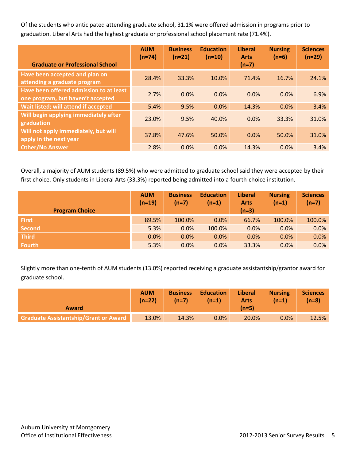Of the students who anticipated attending graduate school, 31.1% were offered admission in programs prior to graduation. Liberal Arts had the highest graduate or professional school placement rate (71.4%).

|                                                                              | <b>AUM</b><br>$(n=74)$ | <b>Business</b><br>$(n=21)$ | <b>Education</b><br>$(n=10)$ | <b>Liberal</b><br><b>Arts</b> | <b>Nursing</b><br>$(n=6)$ | <b>Sciences</b><br>$(n=29)$ |
|------------------------------------------------------------------------------|------------------------|-----------------------------|------------------------------|-------------------------------|---------------------------|-----------------------------|
| <b>Graduate or Professional School</b>                                       |                        |                             |                              | $(n=7)$                       |                           |                             |
| Have been accepted and plan on<br>attending a graduate program               | 28.4%                  | 33.3%                       | 10.0%                        | 71.4%                         | 16.7%                     | 24.1%                       |
| Have been offered admission to at least<br>one program, but haven't accepted | 2.7%                   | 0.0%                        | 0.0%                         | 0.0%                          | 0.0%                      | 6.9%                        |
| Wait listed; will attend if accepted                                         | 5.4%                   | 9.5%                        | 0.0%                         | 14.3%                         | 0.0%                      | 3.4%                        |
| Will begin applying immediately after<br>graduation                          | 23.0%                  | 9.5%                        | 40.0%                        | 0.0%                          | 33.3%                     | 31.0%                       |
| Will not apply immediately, but will<br>apply in the next year               | 37.8%                  | 47.6%                       | 50.0%                        | 0.0%                          | 50.0%                     | 31.0%                       |
| Other/No Answer                                                              | 2.8%                   | 0.0%                        | 0.0%                         | 14.3%                         | 0.0%                      | 3.4%                        |

Overall, a majority of AUM students (89.5%) who were admitted to graduate school said they were accepted by their first choice. Only students in Liberal Arts (33.3%) reported being admitted into a fourth-choice institution.

| <b>Program Choice</b> | <b>AUM</b><br>$(n=19)$ | <b>Business</b><br>$(n=7)$ | <b>Education</b><br>$(n=1)$ | <b>Liberal</b><br><b>Arts</b><br>$(n=3)$ | <b>Nursing</b><br>$(n=1)$ | <b>Sciences</b><br>$(n=7)$ |
|-----------------------|------------------------|----------------------------|-----------------------------|------------------------------------------|---------------------------|----------------------------|
| <b>First</b>          | 89.5%                  | 100.0%                     | $0.0\%$                     | 66.7%                                    | 100.0%                    | 100.0%                     |
| <b>Second</b>         | 5.3%                   | 0.0%                       | 100.0%                      | 0.0%                                     | 0.0%                      | 0.0%                       |
| <b>Third</b>          | 0.0%                   | 0.0%                       | 0.0%                        | 0.0%                                     | 0.0%                      | 0.0%                       |
| <b>Fourth</b>         | 5.3%                   | 0.0%                       | 0.0%                        | 33.3%                                    | 0.0%                      | 0.0%                       |

Slightly more than one-tenth of AUM students (13.0%) reported receiving a graduate assistantship/grantor award for graduate school.

| Award                                        | <b>AUM</b><br>$(n=22)$ | <b>Business</b><br>$(n=7)$ | <b>Education</b><br>$(n=1)$ | <b>Liberal</b><br><b>Arts</b><br>$(n=5)$ | <b>Nursing</b><br>$(n=1)$ | <b>Sciences</b><br>$(n=8)$ |
|----------------------------------------------|------------------------|----------------------------|-----------------------------|------------------------------------------|---------------------------|----------------------------|
| <b>Graduate Assistantship/Grant or Award</b> | 13.0%                  | 14.3%                      | $0.0\%$                     | 20.0%                                    | $0.0\%$                   | 12.5%                      |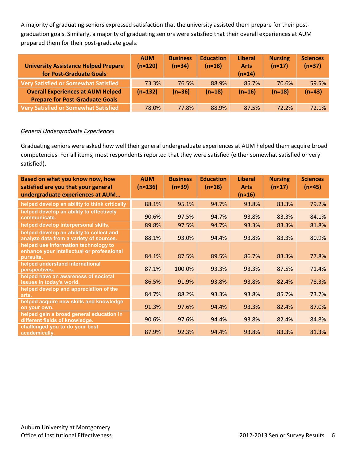A majority of graduating seniors expressed satisfaction that the university assisted them prepare for their postgraduation goals. Similarly, a majority of graduating seniors were satisfied that their overall experiences at AUM prepared them for their post-graduate goals.

| <b>University Assistance Helped Prepare</b><br>for Post-Graduate Goals             | <b>AUM</b><br>$(n=120)$ | <b>Business</b><br>$(n=34)$ | <b>Education</b><br>$(n=18)$ | <b>Liberal</b><br><b>Arts</b><br>$(n=14)$ | <b>Nursing</b><br>$(n=17)$ | <b>Sciences</b><br>$(n=37)$ |
|------------------------------------------------------------------------------------|-------------------------|-----------------------------|------------------------------|-------------------------------------------|----------------------------|-----------------------------|
| Very Satisfied or Somewhat Satisfied                                               | 73.3%                   | 76.5%                       | 88.9%                        | 85.7%                                     | 70.6%                      | 59.5%                       |
| <b>Overall Experiences at AUM Helped</b><br><b>Prepare for Post-Graduate Goals</b> | $(n=132)$               | $(n=36)$                    | $(n=18)$                     | $(n=16)$                                  | $(n=18)$                   | $(n=43)$                    |
| Very Satisfied or Somewhat Satisfied                                               | 78.0%                   | 77.8%                       | 88.9%                        | 87.5%                                     | 72.2%                      | 72.1%                       |

#### *General Undergraduate Experiences*

Graduating seniors were asked how well their general undergraduate experiences at AUM helped them acquire broad competencies. For all items, most respondents reported that they were satisfied (either somewhat satisfied or very satisfied).

| Based on what you know now, how<br>satisfied are you that your general<br>undergraduate experiences at AUM | <b>AUM</b><br>$(n \approx 136)$ | <b>Business</b><br>$(n=39)$ | <b>Education</b><br>$(n \approx 18)$ | <b>Liberal</b><br><b>Arts</b><br>$(n \approx 16)$ | <b>Nursing</b><br>$(n \approx 17)$ | <b>Sciences</b><br>$(n \approx 45)$ |
|------------------------------------------------------------------------------------------------------------|---------------------------------|-----------------------------|--------------------------------------|---------------------------------------------------|------------------------------------|-------------------------------------|
| helped develop an ability to think critically                                                              | 88.1%                           | 95.1%                       | 94.7%                                | 93.8%                                             | 83.3%                              | 79.2%                               |
| helped develop an ability to effectively<br>communicate.                                                   | 90.6%                           | 97.5%                       | 94.7%                                | 93.8%                                             | 83.3%                              | 84.1%                               |
| helped develop interpersonal skills.                                                                       | 89.8%                           | 97.5%                       | 94.7%                                | 93.3%                                             | 83.3%                              | 81.8%                               |
| helped develop an ability to collect and<br>analyze data from a variety of sources.                        | 88.1%                           | 93.0%                       | 94.4%                                | 93.8%                                             | 83.3%                              | 80.9%                               |
| helped use information technology to<br>enhance your intellectual or professional<br>pursuits.             | 84.1%                           | 87.5%                       | 89.5%                                | 86.7%                                             | 83.3%                              | 77.8%                               |
| helped understand international<br>perspectives.                                                           | 87.1%                           | 100.0%                      | 93.3%                                | 93.3%                                             | 87.5%                              | 71.4%                               |
| helped have an awareness of societal<br>issues in today's world.                                           | 86.5%                           | 91.9%                       | 93.8%                                | 93.8%                                             | 82.4%                              | 78.3%                               |
| helped develop and appreciation of the<br>arts.                                                            | 84.7%                           | 88.2%                       | 93.3%                                | 93.8%                                             | 85.7%                              | 73.7%                               |
| helped acquire new skills and knowledge<br>on your own.                                                    | 91.3%                           | 97.6%                       | 94.4%                                | 93.3%                                             | 82.4%                              | 87.0%                               |
| helped gain a broad general education in<br>different fields of knowledge.                                 | 90.6%                           | 97.6%                       | 94.4%                                | 93.8%                                             | 82.4%                              | 84.8%                               |
| challenged you to do your best<br>academically.                                                            | 87.9%                           | 92.3%                       | 94.4%                                | 93.8%                                             | 83.3%                              | 81.3%                               |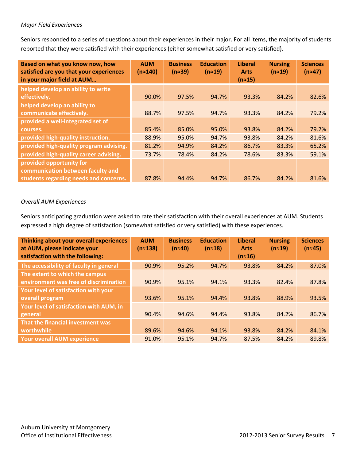#### *Major Field Experiences*

Seniors responded to a series of questions about their experiences in their major. For all items, the majority of students reported that they were satisfied with their experiences (either somewhat satisfied or very satisfied).

| Based on what you know now, how<br>satisfied are you that your experiences<br>in your major field at AUM | <b>AUM</b><br>(n≈140) | <b>Business</b><br>$(n=39)$ | <b>Education</b><br>$(n \approx 19)$ | <b>Liberal</b><br><b>Arts</b><br>$(n \approx 15)$ | <b>Nursing</b><br>$(n \approx 19)$ | <b>Sciences</b><br>$(n \approx 47)$ |
|----------------------------------------------------------------------------------------------------------|-----------------------|-----------------------------|--------------------------------------|---------------------------------------------------|------------------------------------|-------------------------------------|
| helped develop an ability to write                                                                       |                       |                             |                                      |                                                   |                                    |                                     |
| effectively.                                                                                             | 90.0%                 | 97.5%                       | 94.7%                                | 93.3%                                             | 84.2%                              | 82.6%                               |
| helped develop an ability to                                                                             |                       |                             |                                      |                                                   |                                    |                                     |
| communicate effectively.                                                                                 | 88.7%                 | 97.5%                       | 94.7%                                | 93.3%                                             | 84.2%                              | 79.2%                               |
| provided a well-integrated set of                                                                        |                       |                             |                                      |                                                   |                                    |                                     |
| courses.                                                                                                 | 85.4%                 | 85.0%                       | 95.0%                                | 93.8%                                             | 84.2%                              | 79.2%                               |
| provided high-quality instruction.                                                                       | 88.9%                 | 95.0%                       | 94.7%                                | 93.8%                                             | 84.2%                              | 81.6%                               |
| provided high-quality program advising.                                                                  | 81.2%                 | 94.9%                       | 84.2%                                | 86.7%                                             | 83.3%                              | 65.2%                               |
| provided high-quality career advising.                                                                   | 73.7%                 | 78.4%                       | 84.2%                                | 78.6%                                             | 83.3%                              | 59.1%                               |
| provided opportunity for                                                                                 |                       |                             |                                      |                                                   |                                    |                                     |
| communication between faculty and                                                                        |                       |                             |                                      |                                                   |                                    |                                     |
| students regarding needs and concerns.                                                                   | 87.8%                 | 94.4%                       | 94.7%                                | 86.7%                                             | 84.2%                              | 81.6%                               |

#### *Overall AUM Experiences*

Seniors anticipating graduation were asked to rate their satisfaction with their overall experiences at AUM. Students expressed a high degree of satisfaction (somewhat satisfied or very satisfied) with these experiences.

| Thinking about your overall experiences<br>at AUM, please indicate your<br>satisfaction with the following: | <b>AUM</b><br>$(n \approx 138)$ | <b>Business</b><br>$(n \approx 40)$ | <b>Education</b><br>$(n \approx 18)$ | <b>Liberal</b><br><b>Arts</b><br>$(n \approx 16)$ | <b>Nursing</b><br>$(n \approx 19)$ | <b>Sciences</b><br>$(n \approx 45)$ |
|-------------------------------------------------------------------------------------------------------------|---------------------------------|-------------------------------------|--------------------------------------|---------------------------------------------------|------------------------------------|-------------------------------------|
| The accessibility of faculty in general                                                                     | 90.9%                           | 95.2%                               | 94.7%                                | 93.8%                                             | 84.2%                              | 87.0%                               |
| The extent to which the campus                                                                              |                                 |                                     |                                      |                                                   |                                    |                                     |
| environment was free of discrimination                                                                      | 90.9%                           | 95.1%                               | 94.1%                                | 93.3%                                             | 82.4%                              | 87.8%                               |
| Your level of satisfaction with your                                                                        |                                 |                                     |                                      |                                                   |                                    |                                     |
| overall program                                                                                             | 93.6%                           | 95.1%                               | 94.4%                                | 93.8%                                             | 88.9%                              | 93.5%                               |
| Your level of satisfaction with AUM, in                                                                     |                                 |                                     |                                      |                                                   |                                    |                                     |
| general                                                                                                     | 90.4%                           | 94.6%                               | 94.4%                                | 93.8%                                             | 84.2%                              | 86.7%                               |
| That the financial investment was                                                                           |                                 |                                     |                                      |                                                   |                                    |                                     |
| worthwhile                                                                                                  | 89.6%                           | 94.6%                               | 94.1%                                | 93.8%                                             | 84.2%                              | 84.1%                               |
| <b>Your overall AUM experience</b>                                                                          | 91.0%                           | 95.1%                               | 94.7%                                | 87.5%                                             | 84.2%                              | 89.8%                               |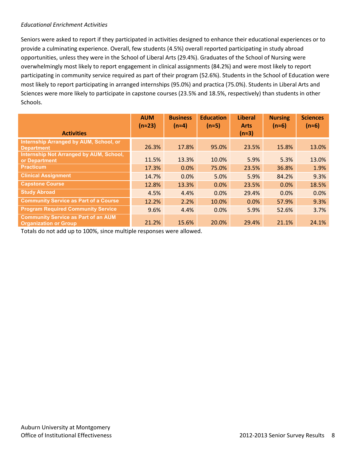#### *Educational Enrichment Activities*

Seniors were asked to report if they participated in activities designed to enhance their educational experiences or to provide a culminating experience. Overall, few students (4.5%) overall reported participating in study abroad opportunities, unless they were in the School of Liberal Arts (29.4%). Graduates of the School of Nursing were overwhelmingly most likely to report engagement in clinical assignments (84.2%) and were most likely to report participating in community service required as part of their program (52.6%). Students in the School of Education were most likely to report participating in arranged internships (95.0%) and practica (75.0%). Students in Liberal Arts and Sciences were more likely to participate in capstone courses (23.5% and 18.5%, respectively) than students in other Schools.

|                                                                            | <b>AUM</b><br>$(n \approx 23)$ | <b>Business</b><br>$(n=4)$ | <b>Education</b><br>$(n \approx 5)$ | <b>Liberal</b><br><b>Arts</b> | <b>Nursing</b><br>$(n \approx 6)$ | <b>Sciences</b><br>$(n \approx 6)$ |
|----------------------------------------------------------------------------|--------------------------------|----------------------------|-------------------------------------|-------------------------------|-----------------------------------|------------------------------------|
| <b>Activities</b>                                                          |                                |                            |                                     | $(n=3)$                       |                                   |                                    |
| Internship Arranged by AUM, School, or<br><b>Department</b>                | 26.3%                          | 17.8%                      | 95.0%                               | 23.5%                         | 15.8%                             | 13.0%                              |
| Internship Not Arranged by AUM, School,<br>or Department                   | 11.5%                          | 13.3%                      | 10.0%                               | 5.9%                          | 5.3%                              | 13.0%                              |
| <b>Practicum</b>                                                           | 17.3%                          | 0.0%                       | 75.0%                               | 23.5%                         | 36.8%                             | 1.9%                               |
| <b>Clinical Assignment</b>                                                 | 14.7%                          | 0.0%                       | 5.0%                                | 5.9%                          | 84.2%                             | 9.3%                               |
| <b>Capstone Course</b>                                                     | 12.8%                          | 13.3%                      | 0.0%                                | 23.5%                         | 0.0%                              | 18.5%                              |
| <b>Study Abroad</b>                                                        | 4.5%                           | 4.4%                       | 0.0%                                | 29.4%                         | 0.0%                              | 0.0%                               |
| <b>Community Service as Part of a Course</b>                               | 12.2%                          | 2.2%                       | 10.0%                               | 0.0%                          | 57.9%                             | 9.3%                               |
| <b>Program Required Community Service</b>                                  | 9.6%                           | 4.4%                       | 0.0%                                | 5.9%                          | 52.6%                             | 3.7%                               |
| <b>Community Service as Part of an AUM</b><br><b>Organization or Group</b> | 21.2%                          | 15.6%                      | 20.0%                               | 29.4%                         | 21.1%                             | 24.1%                              |

Totals do not add up to 100%, since multiple responses were allowed.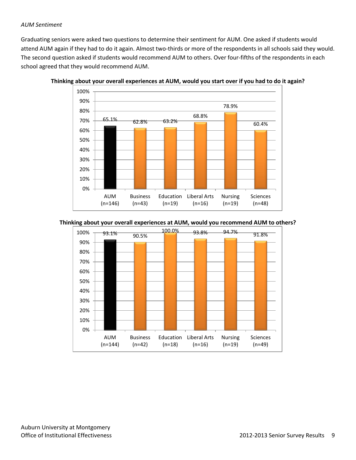#### *AUM Sentiment*

Graduating seniors were asked two questions to determine their sentiment for AUM. One asked if students would attend AUM again if they had to do it again. Almost two-thirds or more of the respondents in all schools said they would. The second question asked if students would recommend AUM to others. Over four-fifths of the respondents in each school agreed that they would recommend AUM.



**Thinking about your overall experiences at AUM, would you start over if you had to do it again?** 

#### **Thinking about your overall experiences at AUM, would you recommend AUM to others?**

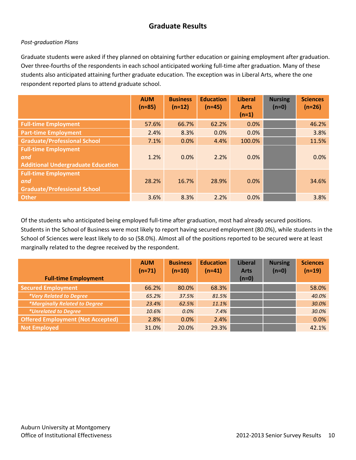## **Graduate Results**

#### *Post-graduation Plans*

Graduate students were asked if they planned on obtaining further education or gaining employment after graduation. Over three-fourths of the respondents in each school anticipated working full-time after graduation. Many of these students also anticipated attaining further graduate education. The exception was in Liberal Arts, where the one respondent reported plans to attend graduate school.

|                                                                                 | <b>AUM</b><br>$(n=85)$ | <b>Business</b><br>$(n=12)$ | <b>Education</b><br>$(n=45)$ | <b>Liberal</b><br><b>Arts</b><br>$(n=1)$ | <b>Nursing</b><br>$(n=0)$ | <b>Sciences</b><br>$(n=26)$ |
|---------------------------------------------------------------------------------|------------------------|-----------------------------|------------------------------|------------------------------------------|---------------------------|-----------------------------|
| <b>Full-time Employment</b>                                                     | 57.6%                  | 66.7%                       | 62.2%                        | 0.0%                                     |                           | 46.2%                       |
| <b>Part-time Employment</b>                                                     | 2.4%                   | 8.3%                        | 0.0%                         | 0.0%                                     |                           | 3.8%                        |
| <b>Graduate/Professional School</b>                                             | 7.1%                   | 0.0%                        | 4.4%                         | 100.0%                                   |                           | 11.5%                       |
| <b>Full-time Employment</b><br>and<br><b>Additional Undergraduate Education</b> | 1.2%                   | 0.0%                        | 2.2%                         | 0.0%                                     |                           | 0.0%                        |
| <b>Full-time Employment</b><br>and<br><b>Graduate/Professional School</b>       | 28.2%                  | 16.7%                       | 28.9%                        | 0.0%                                     |                           | 34.6%                       |
| <b>Other</b>                                                                    | 3.6%                   | 8.3%                        | 2.2%                         | 0.0%                                     |                           | 3.8%                        |

Of the students who anticipated being employed full-time after graduation, most had already secured positions. Students in the School of Business were most likely to report having secured employment (80.0%), while students in the School of Sciences were least likely to do so (58.0%). Almost all of the positions reported to be secured were at least marginally related to the degree received by the respondent.

|                                          | <b>AUM</b><br>$(n=71)$ | <b>Business</b><br>$(n=10)$ | <b>Education</b><br>$(n=41)$ | <b>Liberal</b><br><b>Arts</b> | <b>Nursing</b><br>$(n=0)$ | <b>Sciences</b><br>$(n=19)$ |
|------------------------------------------|------------------------|-----------------------------|------------------------------|-------------------------------|---------------------------|-----------------------------|
| <b>Full-time Employment</b>              |                        |                             |                              | $(n=0)$                       |                           |                             |
| <b>Secured Employment</b>                | 66.2%                  | 80.0%                       | 68.3%                        |                               |                           | 58.0%                       |
| *Very Related to Degree                  | 65.2%                  | 37.5%                       | 81.5%                        |                               |                           | 40.0%                       |
| <i>*Marginally Related to Degree</i>     | 23.4%                  | 62.5%                       | 11.1%                        |                               |                           | 30.0%                       |
| <i>*Unrelated to Degree</i>              | 10.6%                  | 0.0%                        | 7.4%                         |                               |                           | 30.0%                       |
| <b>Offered Employment (Not Accepted)</b> | 2.8%                   | 0.0%                        | 2.4%                         |                               |                           | 0.0%                        |
| <b>Not Employed</b>                      | 31.0%                  | 20.0%                       | 29.3%                        |                               |                           | 42.1%                       |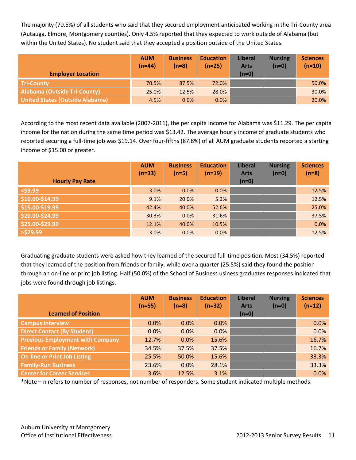The majority (70.5%) of all students who said that they secured employment anticipated working in the Tri-County area (Autauga, Elmore, Montgomery counties). Only 4.5% reported that they expected to work outside of Alabama (but within the United States). No student said that they accepted a position outside of the United States.

|                                        | <b>AUM</b><br>$(n=44)$ | <b>Business</b><br>$(n=8)$ | <b>Education</b><br>$(n=25)$ | <b>Liberal</b><br><b>Arts</b> | <b>Nursing</b><br>$(n=0)$ | <b>Sciences</b><br>$(n=10)$ |
|----------------------------------------|------------------------|----------------------------|------------------------------|-------------------------------|---------------------------|-----------------------------|
| <b>Employer Location</b>               |                        |                            |                              | $(n=0)$                       |                           |                             |
| <b>Tri-County</b>                      | 70.5%                  | 87.5%                      | 72.0%                        |                               |                           | 50.0%                       |
| <b>Alabama (Outside Tri-County)</b>    | 25.0%                  | 12.5%                      | 28.0%                        |                               |                           | 30.0%                       |
| <b>United States (Outside Alabama)</b> | 4.5%                   | 0.0%                       | 0.0%                         |                               |                           | 20.0%                       |

According to the most recent data available (2007-2011), the per capita income for Alabama was \$11.29. The per capita income for the nation during the same time period was \$13.42. The average hourly income of graduate students who reported securing a full-time job was \$19.14. Over four-fifths (87.8%) of all AUM graduate students reported a starting income of \$15.00 or greater.

|                        | <b>AUM</b><br>$(n=33)$ | <b>Business</b><br>$(n=5)$ | <b>Education</b><br>$(n=19)$ | <b>Liberal</b><br><b>Arts</b> | <b>Nursing</b><br>$(n=0)$ | <b>Sciences</b><br>$(n=8)$ |
|------------------------|------------------------|----------------------------|------------------------------|-------------------------------|---------------------------|----------------------------|
| <b>Hourly Pay Rate</b> |                        |                            |                              | $(n=0)$                       |                           |                            |
| $<$ \$9.99             | 3.0%                   | 0.0%                       | 0.0%                         |                               |                           | 12.5%                      |
| \$10.00-\$14.99        | 9.1%                   | 20.0%                      | 5.3%                         |                               |                           | 12.5%                      |
| \$15.00-\$19.99        | 42.4%                  | 40.0%                      | 52.6%                        |                               |                           | 25.0%                      |
| \$20.00-\$24.99        | 30.3%                  | 0.0%                       | 31.6%                        |                               |                           | 37.5%                      |
| \$25.00-\$29.99        | 12.1%                  | 40.0%                      | 10.5%                        |                               |                           | 0.0%                       |
| $>$ \$29.99            | 3.0%                   | 0.0%                       | 0.0%                         |                               |                           | 12.5%                      |

Graduating graduate students were asked how they learned of the secured full-time position. Most (34.5%) reported that they learned of the position from friends or family, while over a quarter (25.5%) said they found the position through an on-line or print job listing. Half (50.0%) of the School of Business usiness graduates responses indicated that jobs were found through job listings.

|                                         | <b>AUM</b><br>$(n=55)$ | <b>Business</b><br>$(n=8)$ | <b>Education</b><br>$(n=32)$ | <b>Liberal</b><br><b>Arts</b> | <b>Nursing</b><br>$(n=0)$ | <b>Sciences</b><br>$(n=12)$ |
|-----------------------------------------|------------------------|----------------------------|------------------------------|-------------------------------|---------------------------|-----------------------------|
| <b>Learned of Position</b>              |                        |                            |                              | $(n=0)$                       |                           |                             |
| <b>Campus Interview</b>                 | 0.0%                   | 0.0%                       | 0.0%                         |                               |                           | 0.0%                        |
| <b>Direct Contact (By Student)</b>      | 0.0%                   | 0.0%                       | 0.0%                         |                               |                           | 0.0%                        |
| <b>Previous Employment with Company</b> | 12.7%                  | 0.0%                       | 15.6%                        |                               |                           | 16.7%                       |
| <b>Friends or Family (Network)</b>      | 34.5%                  | 37.5%                      | 37.5%                        |                               |                           | 16.7%                       |
| <b>On-line or Print Job Listing</b>     | 25.5%                  | 50.0%                      | 15.6%                        |                               |                           | 33.3%                       |
| <b>Family-Run Business</b>              | 23.6%                  | 0.0%                       | 28.1%                        |                               |                           | 33.3%                       |
| <b>Center for Career Services</b>       | 3.6%                   | 12.5%                      | 3.1%                         |                               |                           | 0.0%                        |

\*Note – n refers to number of responses, not number of responders. Some student indicated multiple methods.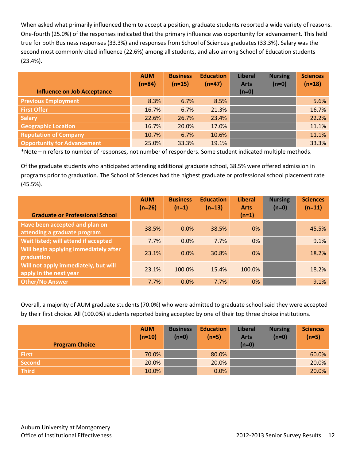When asked what primarily influenced them to accept a position, graduate students reported a wide variety of reasons. One-fourth (25.0%) of the responses indicated that the primary influence was opportunity for advancement. This held true for both Business responses (33.3%) and responses from School of Sciences graduates (33.3%). Salary was the second most commonly cited influence (22.6%) among all students, and also among School of Education students (23.4%).

|                                    | <b>AUM</b><br>$(n=84)$ | <b>Business</b><br>$(n=15)$ | <b>Education</b><br>$(n=47)$ | <b>Liberal</b><br><b>Arts</b> | <b>Nursing</b><br>$(n=0)$ | <b>Sciences</b><br>$(n=18)$ |
|------------------------------------|------------------------|-----------------------------|------------------------------|-------------------------------|---------------------------|-----------------------------|
| <b>Influence on Job Acceptance</b> |                        |                             |                              | $(n=0)$                       |                           |                             |
| <b>Previous Employment</b>         | 8.3%                   | 6.7%                        | 8.5%                         |                               |                           | 5.6%                        |
| <b>First Offer</b>                 | 16.7%                  | 6.7%                        | 21.3%                        |                               |                           | 16.7%                       |
| <b>Salary</b>                      | 22.6%                  | 26.7%                       | 23.4%                        |                               |                           | 22.2%                       |
| <b>Geographic Location</b>         | 16.7%                  | 20.0%                       | 17.0%                        |                               |                           | 11.1%                       |
| <b>Reputation of Company</b>       | 10.7%                  | 6.7%                        | 10.6%                        |                               |                           | 11.1%                       |
| <b>Opportunity for Advancement</b> | 25.0%                  | 33.3%                       | 19.1%                        |                               |                           | 33.3%                       |

\*Note – n refers to number of responses, not number of responders. Some student indicated multiple methods.

Of the graduate students who anticipated attending additional graduate school, 38.5% were offered admission in programs prior to graduation. The School of Sciences had the highest graduate or professional school placement rate (45.5%).

|                                                                | <b>AUM</b><br>$(n=26)$ | <b>Business</b><br>$(n=1)$ | <b>Education</b><br>$(n=13)$ | <b>Liberal</b><br><b>Arts</b> | <b>Nursing</b><br>$(n=0)$ | <b>Sciences</b><br>$(n=11)$ |
|----------------------------------------------------------------|------------------------|----------------------------|------------------------------|-------------------------------|---------------------------|-----------------------------|
| <b>Graduate or Professional School</b>                         |                        |                            |                              | $(n=1)$                       |                           |                             |
| Have been accepted and plan on<br>attending a graduate program | 38.5%                  | 0.0%                       | 38.5%                        | $0\%$                         |                           | 45.5%                       |
| Wait listed; will attend if accepted                           | 7.7%                   | 0.0%                       | 7.7%                         | 0%                            |                           | 9.1%                        |
| Will begin applying immediately after<br>graduation            | 23.1%                  | 0.0%                       | 30.8%                        | $0\%$                         |                           | 18.2%                       |
| Will not apply immediately, but will<br>apply in the next year | 23.1%                  | 100.0%                     | 15.4%                        | 100.0%                        |                           | 18.2%                       |
| <b>Other/No Answer</b>                                         | 7.7%                   | 0.0%                       | 7.7%                         | $0\%$                         |                           | 9.1%                        |

Overall, a majority of AUM graduate students (70.0%) who were admitted to graduate school said they were accepted by their first choice. All (100.0%) students reported being accepted by one of their top three choice institutions.

| <b>Program Choice</b> | <b>AUM</b><br>$(n=10)$ | <b>Business</b><br>$(n=0)$ | <b>Education</b><br>$(n=5)$ | <b>Liberal</b><br><b>Arts</b><br>$(n=0)$ | <b>Nursing</b><br>$(n=0)$ | <b>Sciences</b><br>$(n=5)$ |
|-----------------------|------------------------|----------------------------|-----------------------------|------------------------------------------|---------------------------|----------------------------|
| <b>First</b>          | 70.0%                  |                            | 80.0%                       |                                          |                           | 60.0%                      |
| Second                | 20.0%                  |                            | 20.0%                       |                                          |                           | 20.0%                      |
| <b>Third</b>          | 10.0%                  |                            | 0.0%                        |                                          |                           | 20.0%                      |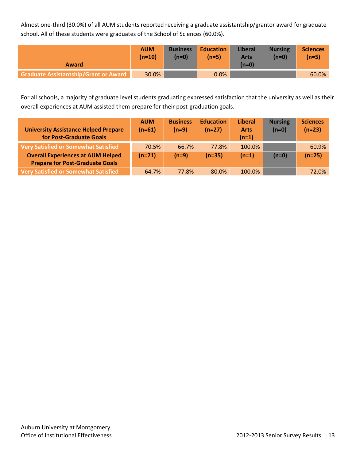Almost one-third (30.0%) of all AUM students reported receiving a graduate assistantship/grantor award for graduate school. All of these students were graduates of the School of Sciences (60.0%).

| <b>Award</b>                                 | <b>AUM</b><br>$(n=10)$ | <b>Business</b><br>$(n=0)$ | <b>Education</b><br>$(n=5)$ | <b>Liberal</b><br><b>Arts</b><br>$(n=0)$ | <b>Nursing</b><br>$(n=0)$ | <b>Sciences</b><br>$(n=5)$ |
|----------------------------------------------|------------------------|----------------------------|-----------------------------|------------------------------------------|---------------------------|----------------------------|
| <b>Graduate Assistantship/Grant or Award</b> | 30.0%                  |                            | $0.0\%$                     |                                          |                           | 60.0%                      |

For all schools, a majority of graduate level students graduating expressed satisfaction that the university as well as their overall experiences at AUM assisted them prepare for their post-graduation goals.

| <b>University Assistance Helped Prepare</b><br>for Post-Graduate Goals | <b>AUM</b><br>$(n=61)$ | <b>Business</b><br>$(n=9)$ | <b>Education</b><br>$(n=27)$ | <b>Liberal</b><br><b>Arts</b><br>$(n=1)$ | <b>Nursing</b><br>$(n=0)$ | <b>Sciences</b><br>$(n=23)$ |
|------------------------------------------------------------------------|------------------------|----------------------------|------------------------------|------------------------------------------|---------------------------|-----------------------------|
| <b>Very Satisfied or Somewhat Satisfied</b>                            | 70.5%                  | 66.7%                      | 77.8%                        | $100.0\%$                                |                           | 60.9%                       |
| <b>Overall Experiences at AUM Helped</b>                               | $(n=71)$               | $(n=9)$                    | $(n=35)$                     | $(n=1)$                                  | $(n=0)$                   | $(n=25)$                    |
| <b>Prepare for Post-Graduate Goals</b>                                 |                        |                            |                              |                                          |                           |                             |
| <b>Very Satisfied or Somewhat Satisfied</b>                            | 64.7%                  | 77.8%                      | 80.0%                        | 100.0%                                   |                           | 72.0%                       |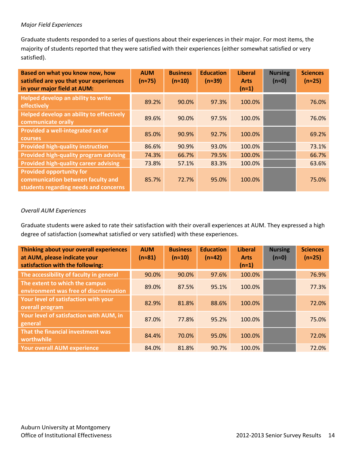#### *Major Field Experiences*

Graduate students responded to a series of questions about their experiences in their major. For most items, the majority of students reported that they were satisfied with their experiences (either somewhat satisfied or very satisfied).

| Based on what you know now, how<br>satisfied are you that your experiences<br>in your major field at AUM:     | <b>AUM</b><br>$(n \approx 75)$ | <b>Business</b><br>$(n \approx 10)$ | <b>Education</b><br>$(n \approx 39)$ | <b>Liberal</b><br><b>Arts</b><br>$(n=1)$ | <b>Nursing</b><br>$(n \approx 0)$ | <b>Sciences</b><br>$(n \approx 25)$ |
|---------------------------------------------------------------------------------------------------------------|--------------------------------|-------------------------------------|--------------------------------------|------------------------------------------|-----------------------------------|-------------------------------------|
| Helped develop an ability to write<br>effectively                                                             | 89.2%                          | 90.0%                               | 97.3%                                | 100.0%                                   |                                   | 76.0%                               |
| Helped develop an ability to effectively<br>communicate orally                                                | 89.6%                          | 90.0%                               | 97.5%                                | 100.0%                                   |                                   | 76.0%                               |
| Provided a well-integrated set of<br><b>courses</b>                                                           | 85.0%                          | 90.9%                               | 92.7%                                | 100.0%                                   |                                   | 69.2%                               |
| <b>Provided high-quality instruction</b>                                                                      | 86.6%                          | 90.9%                               | 93.0%                                | 100.0%                                   |                                   | 73.1%                               |
| Provided high-quality program advising                                                                        | 74.3%                          | 66.7%                               | 79.5%                                | 100.0%                                   |                                   | 66.7%                               |
| <b>Provided high-quality career advising</b>                                                                  | 73.8%                          | 57.1%                               | 83.3%                                | 100.0%                                   |                                   | 63.6%                               |
| <b>Provided opportunity for</b><br>communication between faculty and<br>students regarding needs and concerns | 85.7%                          | 72.7%                               | 95.0%                                | 100.0%                                   |                                   | 75.0%                               |

#### *Overall AUM Experiences*

Graduate students were asked to rate their satisfaction with their overall experiences at AUM. They expressed a high degree of satisfaction (somewhat satisfied or very satisfied) with these experiences.

| Thinking about your overall experiences<br>at AUM, please indicate your<br>satisfaction with the following: | <b>AUM</b><br>$(n \approx 81)$ | <b>Business</b><br>$(n \approx 10)$ | <b>Education</b><br>$(n \approx 42)$ | <b>Liberal</b><br><b>Arts</b><br>$(n=1)$ | <b>Nursing</b><br>$(n \approx 0)$ | <b>Sciences</b><br>$(n \approx 25)$ |
|-------------------------------------------------------------------------------------------------------------|--------------------------------|-------------------------------------|--------------------------------------|------------------------------------------|-----------------------------------|-------------------------------------|
| The accessibility of faculty in general                                                                     | 90.0%                          | 90.0%                               | 97.6%                                | 100.0%                                   |                                   | 76.9%                               |
| The extent to which the campus<br>environment was free of discrimination                                    | 89.0%                          | 87.5%                               | 95.1%                                | 100.0%                                   |                                   | 77.3%                               |
| Your level of satisfaction with your<br>overall program                                                     | 82.9%                          | 81.8%                               | 88.6%                                | 100.0%                                   |                                   | 72.0%                               |
| Your level of satisfaction with AUM, in<br>general                                                          | 87.0%                          | 77.8%                               | 95.2%                                | 100.0%                                   |                                   | 75.0%                               |
| That the financial investment was<br>worthwhile                                                             | 84.4%                          | 70.0%                               | 95.0%                                | 100.0%                                   |                                   | 72.0%                               |
| <b>Your overall AUM experience</b>                                                                          | 84.0%                          | 81.8%                               | 90.7%                                | 100.0%                                   |                                   | 72.0%                               |